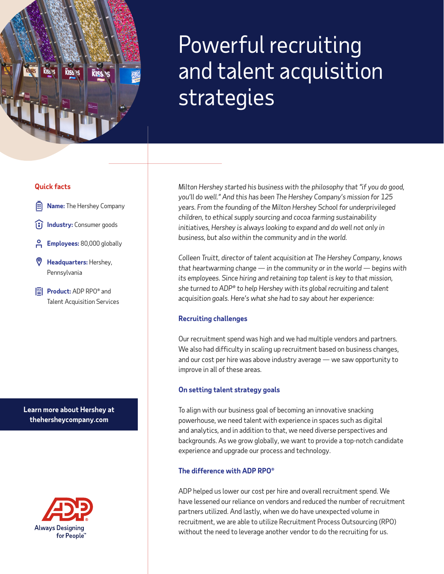# Powerful recruiting and talent acquisition strategies

#### **Quick facts**

- **Name:** The Hershey Company
- **I**ndustry: Consumer goods
- **Employees:** 80,000 globally
- **Headquarters:** Hershey, Pennsylvania
- **Product:** ADP RPO® and Talent Acquisition Services

**Learn more about Hershey at [thehersheycompany.com](http://thehersheycompany.com/)**



*Milton Hershey started his business with the philosophy that "if you do good, you'll do well." And this has been The Hershey Company's mission for 125 years. From the founding of the Milton Hershey School for underprivileged children, to ethical supply sourcing and cocoa farming sustainability*  initiatives, Hershey is always looking to expand and do well not only in *business, but also within the community and in the world.* 

*Colleen Truitt, director of talent acquisition at The Hershey Company, knows that heartwarming change — in the community or in the world — begins with its employees. Since hiring and retaining top talent is key to that mission, she turned to ADP® to help Hershey with its global recruiting and talent acquisition goals. Here's what she had to say about her experience:*

#### **Recruiting challenges**

Our recruitment spend was high and we had multiple vendors and partners. We also had difficulty in scaling up recruitment based on business changes, and our cost per hire was above industry average — we saw opportunity to improve in all of these areas.

#### **On setting talent strategy goals**

To align with our business goal of becoming an innovative snacking powerhouse, we need talent with experience in spaces such as digital and analytics, and in addition to that, we need diverse perspectives and backgrounds. As we grow globally, we want to provide a top-notch candidate experience and upgrade our process and technology.

#### **The difference with ADP RPO®**

ADP helped us lower our cost per hire and overall recruitment spend. We have lessened our reliance on vendors and reduced the number of recruitment partners utilized. And lastly, when we do have unexpected volume in recruitment, we are able to utilize Recruitment Process Outsourcing (RPO) without the need to leverage another vendor to do the recruiting for us.